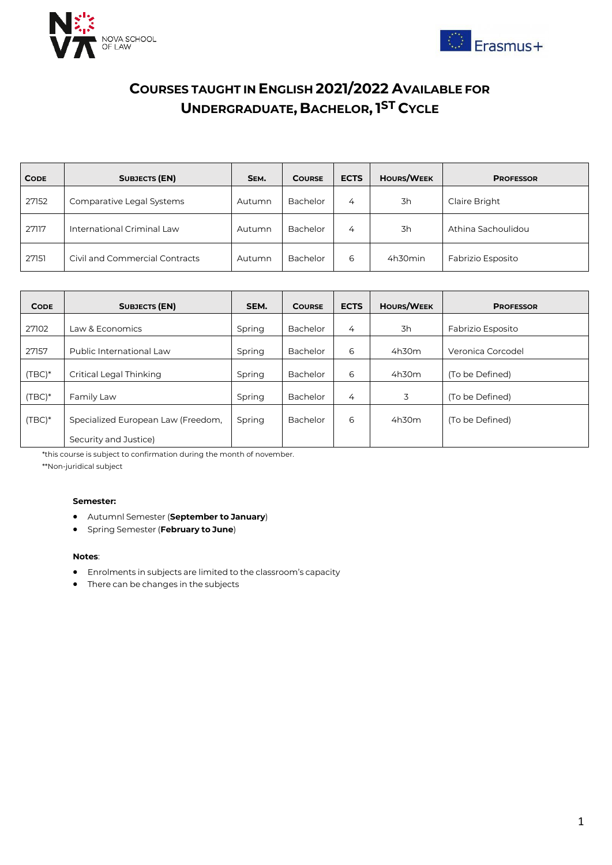



## **COURSES TAUGHT IN ENGLISH 2021/2022 AVAILABLE FOR UNDERGRADUATE, BACHELOR,1 ST CYCLE**

| <b>CODE</b> | <b>SUBJECTS (EN)</b>           | SEM.   | <b>COURSE</b> | <b>ECTS</b> | <b>HOURS/WEEK</b> | <b>PROFESSOR</b>   |
|-------------|--------------------------------|--------|---------------|-------------|-------------------|--------------------|
| 27152       | Comparative Legal Systems      | Autumn | Bachelor      | 4           | 3h                | Claire Bright      |
| 27117       | International Criminal Law     | Autumn | Bachelor      | 4           | 3h                | Athina Sachoulidou |
| 27151       | Civil and Commercial Contracts | Autumn | Bachelor      | 6           | 4h30min           | Fabrizio Esposito  |

| <b>CODE</b> | <b>SUBJECTS (EN)</b>               | SEM.   | <b>COURSE</b> | <b>ECTS</b> | <b>HOURS/WEEK</b> | <b>PROFESSOR</b>  |
|-------------|------------------------------------|--------|---------------|-------------|-------------------|-------------------|
| 27102       | Law & Economics                    | Spring | Bachelor      | 4           | 3h                | Fabrizio Esposito |
| 27157       | Public International Law           | Spring | Bachelor      | 6           | 4h30m             | Veronica Corcodel |
| $(TBC)*$    | Critical Legal Thinking            | Spring | Bachelor      | 6           | 4h30m             | (To be Defined)   |
| $(TBC)*$    | Family Law                         | Spring | Bachelor      | 4           | 3                 | (To be Defined)   |
| $(TBC)*$    | Specialized European Law (Freedom, | Spring | Bachelor      | 6           | 4h30m             | (To be Defined)   |
|             | Security and Justice)              |        |               |             |                   |                   |

\*this course is subject to confirmation during the month of november.

\*\*Non-juridical subject

### **Semester:**

- Autumnl Semester (**September to January**)
- Spring Semester (**February to June**)

#### **Notes**:

- Enrolments in subjects are limited to the classroom's capacity
- There can be changes in the subjects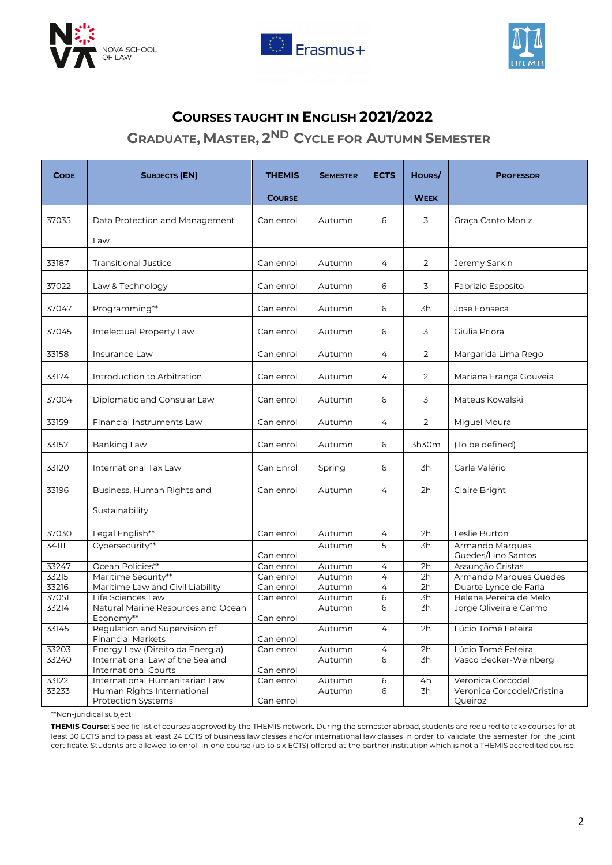





### **COURSES TAUGHT IN ENGLISH 2021/2022**

### **GRADUATE, MASTER, 2 ND CYCLE FOR AUTUMN SEMESTER**

| <b>CODE</b> | <b>SUBJECTS (EN)</b>                                      | <b>THEMIS</b> | <b>SEMESTER</b> | <b>ECTS</b>    | HOURS/      | <b>PROFESSOR</b>                      |
|-------------|-----------------------------------------------------------|---------------|-----------------|----------------|-------------|---------------------------------------|
|             |                                                           | <b>COURSE</b> |                 |                | <b>WEEK</b> |                                       |
| 37035       | Data Protection and Management<br>Law                     | Can enrol     | Autumn          | 6              | 3           | Graça Canto Moniz                     |
| 33187       | <b>Transitional Justice</b>                               | Can enrol     | Autumn          | 4              | 2           | Jeremy Sarkin                         |
| 37022       | Law & Technology                                          | Can enrol     | Autumn          | 6              | 3           | Fabrizio Esposito                     |
| 37047       | Programming**                                             | Can enrol     | Autumn          | 6              | 3h          | José Fonseca                          |
| 37045       | Intelectual Property Law                                  | Can enrol     | Autumn          | 6              | 3           | Giulia Priora                         |
| 33158       | Insurance Law                                             | Can enrol     | Autumn          | 4              | 2           | Margarida Lima Rego                   |
| 33174       | Introduction to Arbitration                               | Can enrol     | Autumn          | 4              | 2           | Mariana França Gouveia                |
| 37004       | Diplomatic and Consular Law                               | Can enrol     | Autumn          | 6              | 3           | Mateus Kowalski                       |
| 33159       | Financial Instruments Law                                 | Can enrol     | Autumn          | 4              | 2           | Miguel Moura                          |
| 33157       | <b>Banking Law</b>                                        | Can enrol     | Autumn          | 6              | 3h30m       | (To be defined)                       |
| 33120       | International Tax Law                                     | Can Enrol     | Spring          | 6              | 3h          | Carla Valério                         |
| 33196       | Business, Human Rights and<br>Sustainability              | Can enrol     | Autumn          | 4              | 2h          | Claire Bright                         |
| 37030       | Legal English**                                           | Can enrol     | Autumn          | 4              | 2h          | Leslie Burton                         |
| 34111       | Cybersecurity**                                           | Can enrol     | Autumn          | 5              | 3h          | Armando Marques<br>Guedes/Lino Santos |
| 33247       | Ocean Policies**                                          | Can enrol     | Autumn          | 4              | 2h          | Assunção Cristas                      |
| 33215       | Maritime Security**                                       | Can enrol     | Autumn          | $\overline{4}$ | 2h          | Armando Marques Guedes                |
| 33216       | Maritime Law and Civil Liability                          | Can enrol     | Autumn          | $\overline{4}$ | 2h          | Duarte Lynce de Faria                 |
| 37051       | Life Sciences Law                                         | Can enrol     | Autumn          | 6              | 3h          | Helena Pereira de Melo                |
| 33214       | Natural Marine Resources and Ocean<br>Economy**           | Can enrol     | Autumn          | 6              | 3h          | Jorge Oliveira e Carmo                |
| 33145       | Regulation and Supervision of<br><b>Financial Markets</b> | Can enrol     | Autumn          | 4              | 2h          | Lúcio Tomé Feteira                    |
| 33203       | Energy Law (Direito da Energia)                           | Can enrol     | Autumn          | $\overline{4}$ | 2h          | Lúcio Tomé Feteira                    |
| 33240       | International Law of the Sea and                          |               | Autumn          | 6              | 3h          | Vasco Becker-Weinberg                 |
|             | <b>International Courts</b>                               | Can enrol     |                 |                |             |                                       |
| 33122       | International Humanitarian Law                            | Can enrol     | Autumn          | 6              | 4h          | Veronica Corcodel                     |
| 33233       | Human Rights International<br><b>Protection Systems</b>   | Can enrol     | Autumn          | 6              | 3h          | Veronica Corcodel/Cristina<br>Queiroz |

\*\*Non-juridical subject

**THEMIS Course**: Specific list of courses approved by the THEMIS network. During the semester abroad, students are required to take courses for at least 30 ECTS and to pass at least 24 ECTS of business law classes and/or international law classes in order to validate the semester for the joint certificate. Students are allowed to enroll in one course (up to six ECTS) offered at the partner institution which is not a THEMIS accredited course.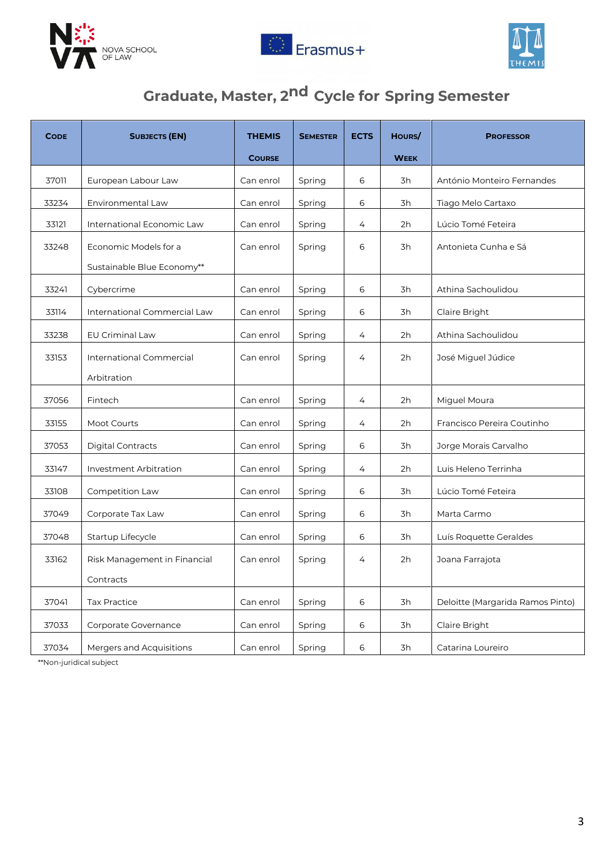





# **Graduate, Master, 2nd Cycle for Spring Semester**

| <b>CODE</b> | <b>SUBJECTS (EN)</b>                                | <b>THEMIS</b> | <b>SEMESTER</b> | <b>ECTS</b> | HOURS/      | <b>PROFESSOR</b>                 |
|-------------|-----------------------------------------------------|---------------|-----------------|-------------|-------------|----------------------------------|
|             |                                                     | <b>COURSE</b> |                 |             | <b>WEEK</b> |                                  |
| 37011       | European Labour Law                                 | Can enrol     | Spring          | 6           | 3h          | António Monteiro Fernandes       |
| 33234       | Environmental Law                                   | Can enrol     | Spring          | 6           | 3h          | Tiago Melo Cartaxo               |
| 33121       | International Economic Law                          | Can enrol     | Spring          | 4           | 2h          | Lúcio Tomé Feteira               |
| 33248       | Economic Models for a<br>Sustainable Blue Economy** | Can enrol     | Spring          | 6           | 3h          | Antonieta Cunha e Sá             |
| 33241       | Cybercrime                                          | Can enrol     | Spring          | 6           | 3h          | Athina Sachoulidou               |
| 33114       | International Commercial Law                        | Can enrol     | Spring          | 6           | 3h          | Claire Bright                    |
| 33238       | <b>EU Criminal Law</b>                              | Can enrol     | Spring          | 4           | 2h          | Athina Sachoulidou               |
| 33153       | International Commercial<br>Arbitration             | Can enrol     | Spring          | 4           | 2h          | José Miguel Júdice               |
| 37056       | Fintech                                             | Can enrol     | Spring          | 4           | 2h          | Miguel Moura                     |
| 33155       | Moot Courts                                         | Can enrol     | Spring          | 4           | 2h          | Francisco Pereira Coutinho       |
| 37053       | <b>Digital Contracts</b>                            | Can enrol     | Spring          | 6           | 3h          | Jorge Morais Carvalho            |
| 33147       | Investment Arbitration                              | Can enrol     | Spring          | 4           | 2h          | Luis Heleno Terrinha             |
| 33108       | Competition Law                                     | Can enrol     | Spring          | 6           | 3h          | Lúcio Tomé Feteira               |
| 37049       | Corporate Tax Law                                   | Can enrol     | Spring          | 6           | 3h          | Marta Carmo                      |
| 37048       | Startup Lifecycle                                   | Can enrol     | Spring          | 6           | 3h          | Luís Roquette Geraldes           |
| 33162       | Risk Management in Financial                        | Can enrol     | Spring          | 4           | 2h          | Joana Farrajota                  |
|             | Contracts                                           |               |                 |             |             |                                  |
| 37041       | <b>Tax Practice</b>                                 | Can enrol     | Spring          | 6           | 3h          | Deloitte (Margarida Ramos Pinto) |
| 37033       | Corporate Governance                                | Can enrol     | Spring          | 6           | 3h          | Claire Bright                    |
| 37034       | Mergers and Acquisitions                            | Can enrol     | Spring          | 6           | 3h          | Catarina Loureiro                |

\*\*Non-juridical subject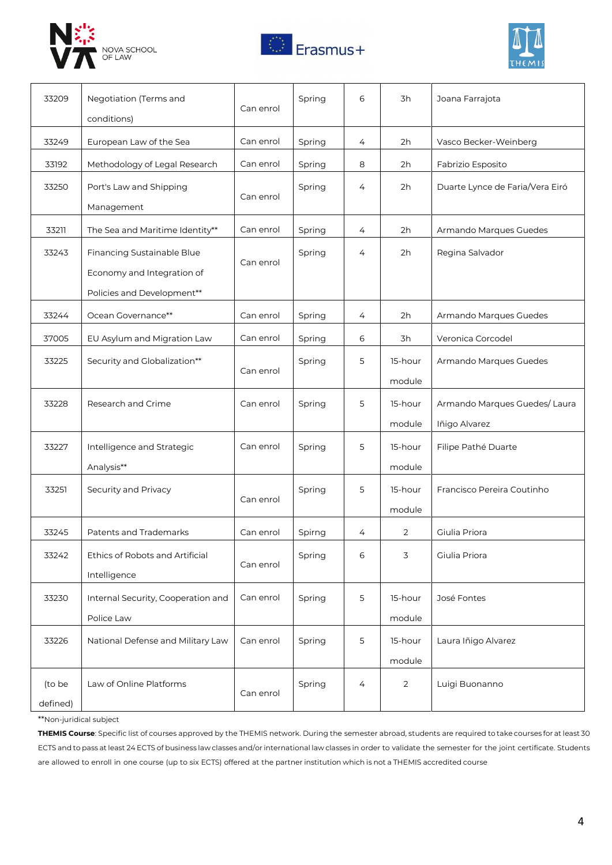





| 33209              | Negotiation (Terms and<br>conditions)                                                  | Can enrol | Spring | 6 | 3h                | Joana Farrajota                               |
|--------------------|----------------------------------------------------------------------------------------|-----------|--------|---|-------------------|-----------------------------------------------|
| 33249              | European Law of the Sea                                                                | Can enrol | Spring | 4 | 2h                | Vasco Becker-Weinberg                         |
| 33192              | Methodology of Legal Research                                                          | Can enrol | Spring | 8 | 2h                | Fabrizio Esposito                             |
| 33250              | Port's Law and Shipping<br>Management                                                  | Can enrol | Spring | 4 | 2h                | Duarte Lynce de Faria/Vera Eiró               |
| 33211              | The Sea and Maritime Identity**                                                        | Can enrol | Spring | 4 | 2h                | Armando Marques Guedes                        |
| 33243              | Financing Sustainable Blue<br>Economy and Integration of<br>Policies and Development** | Can enrol | Spring | 4 | 2h                | Regina Salvador                               |
| 33244              | Ocean Governance**                                                                     | Can enrol | Spring | 4 | 2h                | Armando Marques Guedes                        |
| 37005              | EU Asylum and Migration Law                                                            | Can enrol | Spring | 6 | 3h                | Veronica Corcodel                             |
| 33225              | Security and Globalization**                                                           | Can enrol | Spring | 5 | 15-hour<br>module | Armando Marques Guedes                        |
| 33228              | Research and Crime                                                                     | Can enrol | Spring | 5 | 15-hour<br>module | Armando Marques Guedes/Laura<br>Iñigo Alvarez |
| 33227              | Intelligence and Strategic<br>Analysis**                                               | Can enrol | Spring | 5 | 15-hour<br>module | Filipe Pathé Duarte                           |
| 33251              | Security and Privacy                                                                   | Can enrol | Spring | 5 | 15-hour<br>module | Francisco Pereira Coutinho                    |
| 33245              | Patents and Trademarks                                                                 | Can enrol | Spirng | 4 | 2                 | Giulia Priora                                 |
| 33242              | Ethics of Robots and Artificial<br>Intelligence                                        | Can enrol | Spring | 6 | 3                 | Giulia Priora                                 |
| 33230              | Internal Security, Cooperation and<br>Police Law                                       | Can enrol | Spring | 5 | 15-hour<br>module | José Fontes                                   |
| 33226              | National Defense and Military Law                                                      | Can enrol | Spring | 5 | 15-hour<br>module | Laura Iñigo Alvarez                           |
| (to be<br>defined) | Law of Online Platforms                                                                | Can enrol | Spring | 4 | 2                 | Luigi Buonanno                                |

\*\*Non-juridical subject

**THEMIS Course**: Specific list of courses approved by the THEMIS network. During the semester abroad, students are required to take courses for at least 30 ECTS and to pass at least 24 ECTS of business law classes and/or international law classes in order to validate the semester for the joint certificate. Students are allowed to enroll in one course (up to six ECTS) offered at the partner institution which is not a THEMIS accredited course